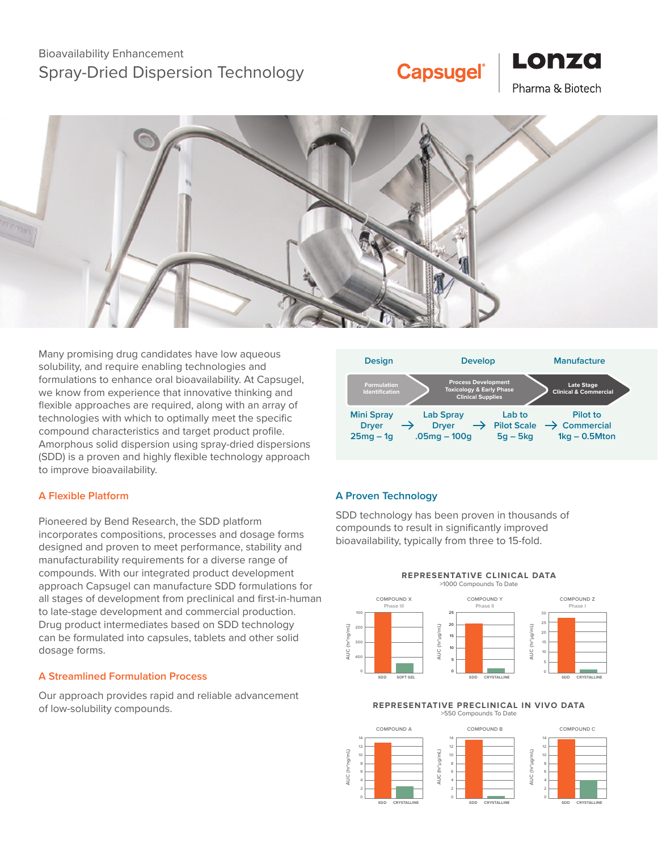## Bioavailability Enhancement Spray-Dried Dispersion Technology

# **Capsugel®**





Many promising drug candidates have low aqueous solubility, and require enabling technologies and formulations to enhance oral bioavailability. At Capsugel, we know from experience that innovative thinking and flexible approaches are required, along with an array of technologies with which to optimally meet the specific compound characteristics and target product profile. Amorphous solid dispersion using spray-dried dispersions (SDD) is a proven and highly flexible technology approach to improve bioavailability.

## **A Flexible Platform**

Pioneered by Bend Research, the SDD platform incorporates compositions, processes and dosage forms designed and proven to meet performance, stability and manufacturability requirements for a diverse range of compounds. With our integrated product development approach Capsugel can manufacture SDD formulations for all stages of development from preclinical and first-in-human to late-stage development and commercial production. Drug product intermediates based on SDD technology can be formulated into capsules, tablets and other solid dosage forms.

## **A Streamlined Formulation Process**

Our approach provides rapid and reliable advancement of low-solubility compounds.



## **A Proven Technology**

SDD technology has been proven in thousands of compounds to result in significantly improved bioavailability, typically from three to 15-fold.



#### **REPRESENTATIVE PRECLINICAL IN VIVO DATA** >550 Compounds To Date